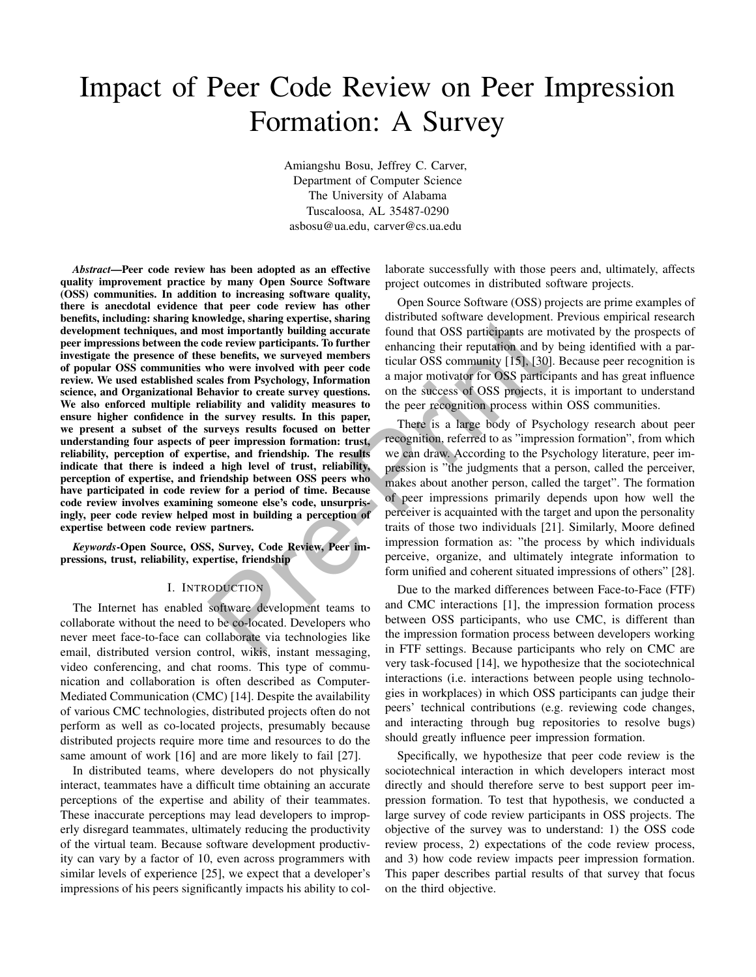# Impact of Peer Code Review on Peer Impression Formation: A Survey

Amiangshu Bosu, Jeffrey C. Carver, Department of Computer Science The University of Alabama Tuscaloosa, AL 35487-0290 asbosu@ua.edu, carver@cs.ua.edu

whedge, sharing expertise, sharing distributed software development<br>not importantly building accurate found that OSS participants are<br>not pole review participants. To further enhancing their reputation and by<br>selecting the *Abstract*—Peer code review has been adopted as an effective quality improvement practice by many Open Source Software (OSS) communities. In addition to increasing software quality, there is anecdotal evidence that peer code review has other benefits, including: sharing knowledge, sharing expertise, sharing development techniques, and most importantly building accurate peer impressions between the code review participants. To further investigate the presence of these benefits, we surveyed members of popular OSS communities who were involved with peer code review. We used established scales from Psychology, Information science, and Organizational Behavior to create survey questions. We also enforced multiple reliability and validity measures to ensure higher confidence in the survey results. In this paper, we present a subset of the surveys results focused on better understanding four aspects of peer impression formation: trust, reliability, perception of expertise, and friendship. The results indicate that there is indeed a high level of trust, reliability, perception of expertise, and friendship between OSS peers who have participated in code review for a period of time. Because code review involves examining someone else's code, unsurprisingly, peer code review helped most in building a perception of expertise between code review partners.

*Keywords*-Open Source, OSS, Survey, Code Review, Peer impressions, trust, reliability, expertise, friendship

# I. INTRODUCTION

The Internet has enabled software development teams to collaborate without the need to be co-located. Developers who never meet face-to-face can collaborate via technologies like email, distributed version control, wikis, instant messaging, video conferencing, and chat rooms. This type of communication and collaboration is often described as Computer-Mediated Communication (CMC) [14]. Despite the availability of various CMC technologies, distributed projects often do not perform as well as co-located projects, presumably because distributed projects require more time and resources to do the same amount of work [16] and are more likely to fail [27].

In distributed teams, where developers do not physically interact, teammates have a difficult time obtaining an accurate perceptions of the expertise and ability of their teammates. These inaccurate perceptions may lead developers to improperly disregard teammates, ultimately reducing the productivity of the virtual team. Because software development productivity can vary by a factor of 10, even across programmers with similar levels of experience [25], we expect that a developer's impressions of his peers significantly impacts his ability to collaborate successfully with those peers and, ultimately, affects project outcomes in distributed software projects.

Open Source Software (OSS) projects are prime examples of distributed software development. Previous empirical research found that OSS participants are motivated by the prospects of enhancing their reputation and by being identified with a particular OSS community [15], [30]. Because peer recognition is a major motivator for OSS participants and has great influence on the success of OSS projects, it is important to understand the peer recognition process within OSS communities.

There is a large body of Psychology research about peer recognition, referred to as "impression formation", from which we can draw. According to the Psychology literature, peer impression is "the judgments that a person, called the perceiver, makes about another person, called the target". The formation of peer impressions primarily depends upon how well the perceiver is acquainted with the target and upon the personality traits of those two individuals [21]. Similarly, Moore defined impression formation as: "the process by which individuals perceive, organize, and ultimately integrate information to form unified and coherent situated impressions of others" [28].

Due to the marked differences between Face-to-Face (FTF) and CMC interactions [1], the impression formation process between OSS participants, who use CMC, is different than the impression formation process between developers working in FTF settings. Because participants who rely on CMC are very task-focused [14], we hypothesize that the sociotechnical interactions (i.e. interactions between people using technologies in workplaces) in which OSS participants can judge their peers' technical contributions (e.g. reviewing code changes, and interacting through bug repositories to resolve bugs) should greatly influence peer impression formation.

Specifically, we hypothesize that peer code review is the sociotechnical interaction in which developers interact most directly and should therefore serve to best support peer impression formation. To test that hypothesis, we conducted a large survey of code review participants in OSS projects. The objective of the survey was to understand: 1) the OSS code review process, 2) expectations of the code review process, and 3) how code review impacts peer impression formation. This paper describes partial results of that survey that focus on the third objective.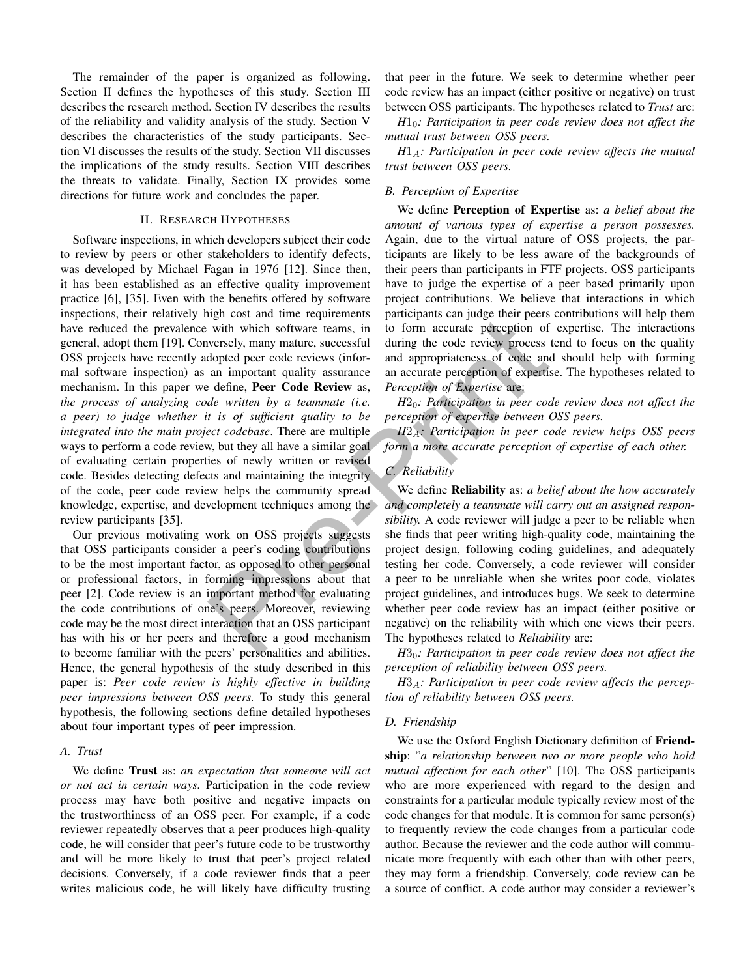The remainder of the paper is organized as following. Section II defines the hypotheses of this study. Section III describes the research method. Section IV describes the results of the reliability and validity analysis of the study. Section V describes the characteristics of the study participants. Section VI discusses the results of the study. Section VII discusses the implications of the study results. Section VIII describes the threats to validate. Finally, Section IX provides some directions for future work and concludes the paper.

#### II. RESEARCH HYPOTHESES

with which software teams, in to form accurate perception of<br>wersely, many mature, successful during the code review process<br>dopted peer code reviews (infor-<br>an important quality assurance an accurate perception of expert Software inspections, in which developers subject their code to review by peers or other stakeholders to identify defects, was developed by Michael Fagan in 1976 [12]. Since then, it has been established as an effective quality improvement practice [6], [35]. Even with the benefits offered by software inspections, their relatively high cost and time requirements have reduced the prevalence with which software teams, in general, adopt them [19]. Conversely, many mature, successful OSS projects have recently adopted peer code reviews (informal software inspection) as an important quality assurance mechanism. In this paper we define, Peer Code Review as, *the process of analyzing code written by a teammate (i.e. a peer) to judge whether it is of sufficient quality to be integrated into the main project codebase*. There are multiple ways to perform a code review, but they all have a similar goal of evaluating certain properties of newly written or revised code. Besides detecting defects and maintaining the integrity of the code, peer code review helps the community spread knowledge, expertise, and development techniques among the review participants [35].

Our previous motivating work on OSS projects suggests that OSS participants consider a peer's coding contributions to be the most important factor, as opposed to other personal or professional factors, in forming impressions about that peer [2]. Code review is an important method for evaluating the code contributions of one's peers. Moreover, reviewing code may be the most direct interaction that an OSS participant has with his or her peers and therefore a good mechanism to become familiar with the peers' personalities and abilities. Hence, the general hypothesis of the study described in this paper is: *Peer code review is highly effective in building peer impressions between OSS peers.* To study this general hypothesis, the following sections define detailed hypotheses about four important types of peer impression.

# *A. Trust*

We define Trust as: *an expectation that someone will act or not act in certain ways.* Participation in the code review process may have both positive and negative impacts on the trustworthiness of an OSS peer. For example, if a code reviewer repeatedly observes that a peer produces high-quality code, he will consider that peer's future code to be trustworthy and will be more likely to trust that peer's project related decisions. Conversely, if a code reviewer finds that a peer writes malicious code, he will likely have difficulty trusting that peer in the future. We seek to determine whether peer code review has an impact (either positive or negative) on trust between OSS participants. The hypotheses related to *Trust* are:

*H*10*: Participation in peer code review does not affect the mutual trust between OSS peers.*

*H*1A*: Participation in peer code review affects the mutual trust between OSS peers.*

## *B. Perception of Expertise*

We define Perception of Expertise as: *a belief about the amount of various types of expertise a person possesses.* Again, due to the virtual nature of OSS projects, the participants are likely to be less aware of the backgrounds of their peers than participants in FTF projects. OSS participants have to judge the expertise of a peer based primarily upon project contributions. We believe that interactions in which participants can judge their peers contributions will help them to form accurate perception of expertise. The interactions during the code review process tend to focus on the quality and appropriateness of code and should help with forming an accurate perception of expertise. The hypotheses related to *Perception of Expertise* are:

*H*20*: Participation in peer code review does not affect the perception of expertise between OSS peers.*

*H*2A*: Participation in peer code review helps OSS peers form a more accurate perception of expertise of each other.*

#### *C. Reliability*

We define Reliability as: *a belief about the how accurately and completely a teammate will carry out an assigned responsibility.* A code reviewer will judge a peer to be reliable when she finds that peer writing high-quality code, maintaining the project design, following coding guidelines, and adequately testing her code. Conversely, a code reviewer will consider a peer to be unreliable when she writes poor code, violates project guidelines, and introduces bugs. We seek to determine whether peer code review has an impact (either positive or negative) on the reliability with which one views their peers. The hypotheses related to *Reliability* are:

*H*30*: Participation in peer code review does not affect the perception of reliability between OSS peers.*

H<sub>3A</sub>: Participation in peer code review affects the percep*tion of reliability between OSS peers.*

#### *D. Friendship*

We use the Oxford English Dictionary definition of **Friend**ship: "*a relationship between two or more people who hold mutual affection for each other*" [10]. The OSS participants who are more experienced with regard to the design and constraints for a particular module typically review most of the code changes for that module. It is common for same person(s) to frequently review the code changes from a particular code author. Because the reviewer and the code author will communicate more frequently with each other than with other peers, they may form a friendship. Conversely, code review can be a source of conflict. A code author may consider a reviewer's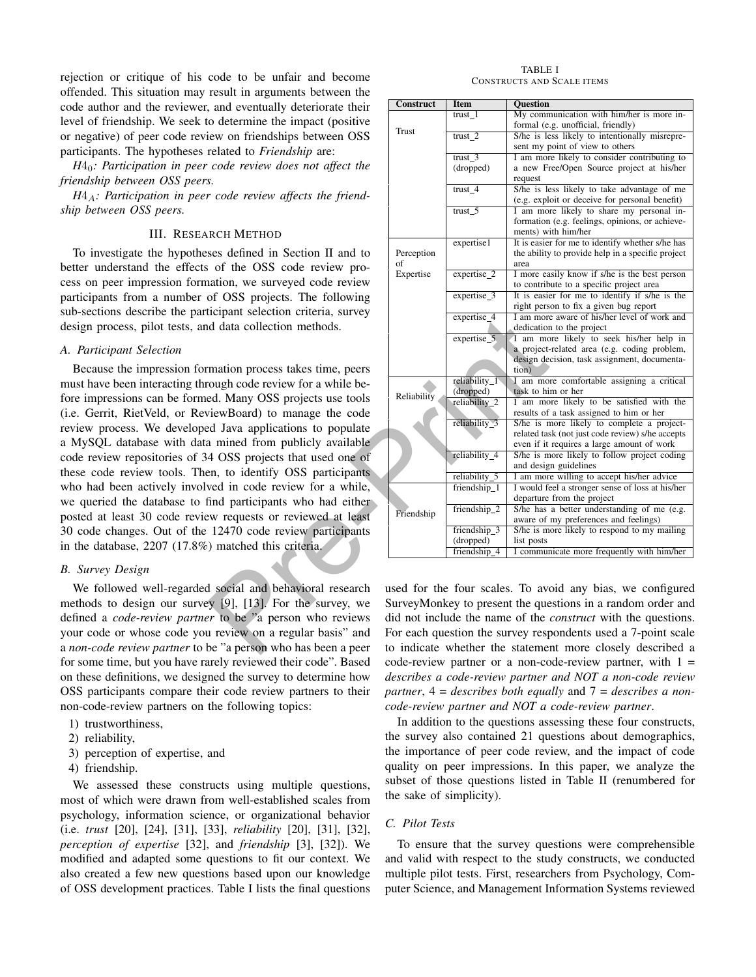rejection or critique of his code to be unfair and become offended. This situation may result in arguments between the code author and the reviewer, and eventually deteriorate their level of friendship. We seek to determine the impact (positive or negative) of peer code review on friendships between OSS participants. The hypotheses related to *Friendship* are:

*H*40*: Participation in peer code review does not affect the friendship between OSS peers.*

*H*4A*: Participation in peer code review affects the friendship between OSS peers.*

#### III. RESEARCH METHOD

To investigate the hypotheses defined in Section II and to better understand the effects of the OSS code review process on peer impression formation, we surveyed code review participants from a number of OSS projects. The following sub-sections describe the participant selection criteria, survey design process, pilot tests, and data collection methods.

#### *A. Participant Selection*

Because the impression formation process takes time, peers must have been interacting through code review for a while before impressions can be formed. Many OSS projects use tools (i.e. Gerrit, RietVeld, or ReviewBoard) to manage the code review process. We developed Java applications to populate a MySQL database with data mined from publicly available code review repositories of 34 OSS projects that used one of these code review tools. Then, to identify OSS participants who had been actively involved in code review for a while, we queried the database to find participants who had either posted at least 30 code review requests or reviewed at least 30 code changes. Out of the 12470 code review participants in the database, 2207 (17.8%) matched this criteria.

## *B. Survey Design*

We followed well-regarded social and behavioral research methods to design our survey [9], [13]. For the survey, we defined a *code-review partner* to be "a person who reviews your code or whose code you review on a regular basis" and a *non-code review partner* to be "a person who has been a peer for some time, but you have rarely reviewed their code". Based on these definitions, we designed the survey to determine how OSS participants compare their code review partners to their non-code-review partners on the following topics:

- 1) trustworthiness,
- 2) reliability,
- 3) perception of expertise, and
- 4) friendship.

We assessed these constructs using multiple questions, most of which were drawn from well-established scales from psychology, information science, or organizational behavior (i.e. *trust* [20], [24], [31], [33], *reliability* [20], [31], [32], *perception of expertise* [32], and *friendship* [3], [32]). We modified and adapted some questions to fit our context. We also created a few new questions based upon our knowledge of OSS development practices. Table I lists the final questions

TABLE I CONSTRUCTS AND SCALE ITEMS

| , and eventually deteriorate their  | <b>Construct</b> | Item                       | Question                                                                                      |
|-------------------------------------|------------------|----------------------------|-----------------------------------------------------------------------------------------------|
| o determine the impact (positive    |                  | $trust_1$                  | My communication with him/her is more in-<br>formal (e.g. unofficial, friendly)               |
| lew on friendships between OSS      | Trust            | trust_2                    | S/he is less likely to intentionally misrepre-                                                |
| related to Friendship are:          |                  |                            | sent my point of view to others                                                               |
|                                     |                  | trust $3$                  | I am more likely to consider contributing to                                                  |
| code review does not affect the     |                  | (dropped)                  | a new Free/Open Source project at his/her                                                     |
|                                     |                  |                            | request                                                                                       |
| r code review affects the friend-   |                  | $trust_4$                  | S/he is less likely to take advantage of me<br>(e.g. exploit or deceive for personal benefit) |
|                                     |                  | trust $5$                  | I am more likely to share my personal in-                                                     |
|                                     |                  |                            | formation (e.g. feelings, opinions, or achieve-                                               |
| <b>RCH METHOD</b>                   |                  |                            | ments) with him/her                                                                           |
|                                     |                  | expertise1                 | It is easier for me to identify whether s/he has                                              |
| ses defined in Section II and to    | Perception       |                            | the ability to provide help in a specific project                                             |
| of the OSS code review pro-         | of<br>Expertise  | expertise_2                | area<br>I more easily know if s/he is the best person                                         |
| ation, we surveyed code review      |                  |                            | to contribute to a specific project area                                                      |
| of OSS projects. The following      |                  | expertise_3                | It is easier for me to identify if s/he is the                                                |
| ticipant selection criteria, survey |                  |                            | right person to fix a given bug report                                                        |
| d data collection methods.          |                  | expertise_4                | I am more aware of his/her level of work and                                                  |
|                                     |                  | $expertise$ 5              | dedication to the project<br>I am more likely to seek his/her help in                         |
|                                     |                  |                            | a project-related area (e.g. coding problem,                                                  |
|                                     |                  |                            | design decision, task assignment, documenta-                                                  |
| mation process takes time, peers    |                  |                            | tion)                                                                                         |
| ough code review for a while be-    |                  | reliability_1              | I am more comfortable assigning a critical                                                    |
| ed. Many OSS projects use tools     | Reliability      | (dropped)<br>reliability_2 | task to him or her<br>I am more likely to be satisfied with the                               |
| viewBoard) to manage the code       |                  |                            | results of a task assigned to him or her                                                      |
| ed Java applications to populate    |                  | reliability <sup>3</sup>   | S/he is more likely to complete a project-                                                    |
|                                     |                  |                            | related task (not just code review) s/he accepts                                              |
| a mined from publicly available     |                  |                            | even if it requires a large amount of work                                                    |
| 4 OSS projects that used one of     |                  | reliability_4              | S/he is more likely to follow project coding<br>and design guidelines                         |
| en, to identify OSS participants    |                  | reliability_5              | I am more willing to accept his/her advice                                                    |
| ved in code review for a while,     |                  | friendship_1               | I would feel a stronger sense of loss at his/her                                              |
| ind participants who had either     |                  |                            | departure from the project                                                                    |
| w requests or reviewed at least     | Friendship       | friendship_2               | S/he has a better understanding of me (e.g.                                                   |
|                                     |                  | friendship_3               | aware of my preferences and feelings)<br>S/he is more likely to respond to my mailing         |
| 12470 code review participants      |                  | (dropped)                  | list posts                                                                                    |
| ) matched this criteria.            |                  | friendship_4               | I communicate more frequently with him/her                                                    |
|                                     |                  |                            |                                                                                               |
|                                     |                  |                            |                                                                                               |
| I social and behavioral research    |                  |                            | used for the four scales. To avoid any bias, we configured                                    |
| $y$ [9], [13]. For the survey, we   |                  |                            | SurveyMonkey to present the questions in a random order and                                   |
| er to be "a person who reviews      |                  |                            | did not include the name of the <i>construct</i> with the questions                           |
| a review on a regular basis" and    |                  |                            | For each question the survey respondents used a 7-point scale                                 |
| be "a person who has been a peer    |                  |                            | to indicate whether the statement more closely described a                                    |
|                                     |                  |                            |                                                                                               |

used for the four scales. To avoid any bias, we configured SurveyMonkey to present the questions in a random order and did not include the name of the *construct* with the questions. For each question the survey respondents used a 7-point scale to indicate whether the statement more closely described a code-review partner or a non-code-review partner, with  $1 =$ *describes a code-review partner and NOT a non-code review partner*, 4 = *describes both equally* and 7 = *describes a noncode-review partner and NOT a code-review partner*.

In addition to the questions assessing these four constructs, the survey also contained 21 questions about demographics, the importance of peer code review, and the impact of code quality on peer impressions. In this paper, we analyze the subset of those questions listed in Table II (renumbered for the sake of simplicity).

#### *C. Pilot Tests*

To ensure that the survey questions were comprehensible and valid with respect to the study constructs, we conducted multiple pilot tests. First, researchers from Psychology, Computer Science, and Management Information Systems reviewed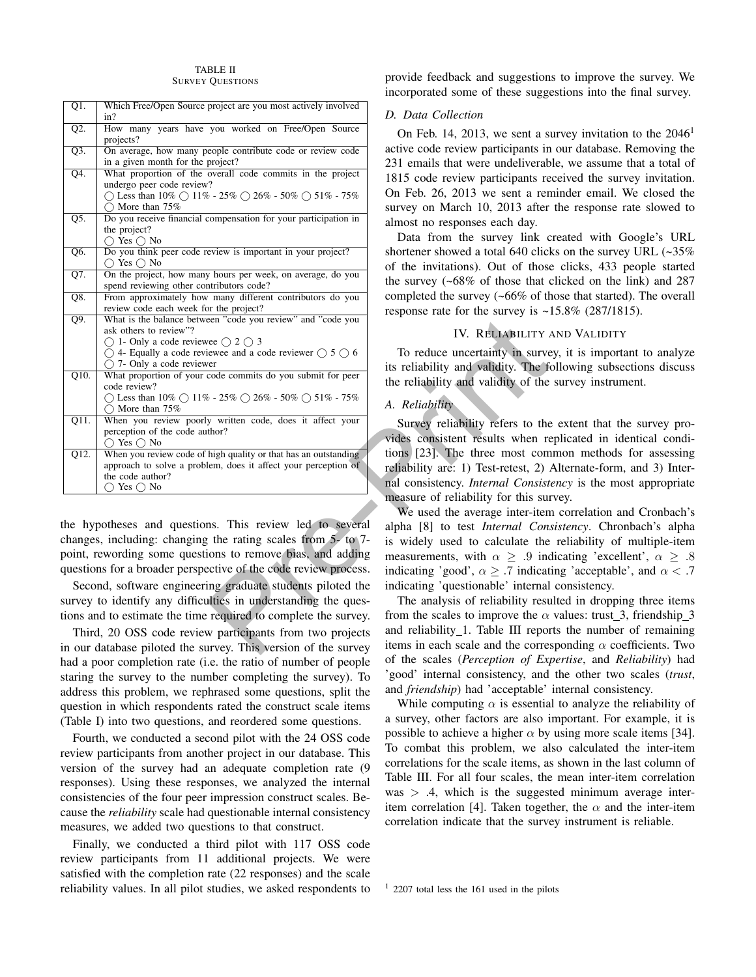#### TABLE II SURVEY QUESTIONS

|                    |                                                                                                     | $m$ corporated some or these suggests                                  |
|--------------------|-----------------------------------------------------------------------------------------------------|------------------------------------------------------------------------|
| $\overline{Q1}$ .  | Which Free/Open Source project are you most actively involved<br>in?                                | D. Data Collection                                                     |
| $\overline{Q2}$ .  | How many years have you worked on Free/Open Source                                                  | On Feb. 14, 2013, we sent a s                                          |
|                    | projects?                                                                                           |                                                                        |
| $\overline{Q3}$ .  | On average, how many people contribute code or review code<br>in a given month for the project?     | active code review participants in<br>231 emails that were undeliverab |
| $\overline{Q4}$ .  | What proportion of the overall code commits in the project                                          |                                                                        |
|                    | undergo peer code review?                                                                           | 1815 code review participants re                                       |
|                    | ◯ Less than $10\%$ ◯ $11\%$ - $25\%$ ◯ $26\%$ - $50\%$ ◯ $51\%$ - $75\%$                            | On Feb. 26, 2013 we sent a ren                                         |
|                    | $\bigcap$ More than 75%                                                                             | survey on March 10, 2013 after                                         |
| Q5.                | Do you receive financial compensation for your participation in                                     | almost no responses each day.                                          |
|                    | the project?                                                                                        |                                                                        |
|                    | $\bigcap$ Yes $\bigcap$ No                                                                          | Data from the survey link o                                            |
| Q6.                | Do you think peer code review is important in your project?                                         | shortener showed a total 640 clicl                                     |
|                    | $\bigcirc$ Yes $\bigcirc$ No                                                                        | of the invitations). Out of those                                      |
| Q7.                | On the project, how many hours per week, on average, do you                                         | the survey $(-68\% \text{ of those that})$                             |
|                    | spend reviewing other contributors code?                                                            | completed the survey (~66% of the                                      |
| $\overline{Q8}$ .  | From approximately how many different contributors do you<br>review code each week for the project? |                                                                        |
| $\overline{Q9}$ .  | What is the balance between "code you review" and "code you                                         | response rate for the survey is $\sim$                                 |
|                    | ask others to review"?                                                                              |                                                                        |
|                    | $\bigcirc$ 1- Only a code reviewee $\bigcirc$ 2 $\bigcirc$ 3                                        | IV. RELIABILITY                                                        |
|                    | $\bigcirc$ 4- Equally a code reviewee and a code reviewer $\bigcirc$ 5 $\bigcirc$ 6                 | To reduce uncertainty in surve                                         |
|                    | $\bigcap$ 7- Only a code reviewer                                                                   | its reliability and validity. The f                                    |
| $\overline{Q10}$ . | What proportion of your code commits do you submit for peer                                         |                                                                        |
|                    | code review?                                                                                        | the reliability and validity of the                                    |
|                    | ◯ Less than $10\%$ ◯ $11\%$ - $25\%$ ◯ $26\%$ - $50\%$ ◯ $51\%$ - $75\%$                            | A. Reliability                                                         |
|                    | $\bigcirc$ More than 75%                                                                            |                                                                        |
| Q11.               | When you review poorly written code, does it affect your                                            | Survey reliability refers to the                                       |
|                    | perception of the code author?                                                                      | vides consistent results when re                                       |
| Q12.               | $\bigcap$ Yes $\bigcap$ No<br>When you review code of high quality or that has an outstanding       | tions [23]. The three most com                                         |
|                    | approach to solve a problem, does it affect your perception of                                      |                                                                        |
|                    | the code author?                                                                                    | reliability are: 1) Test-retest, 2).                                   |
|                    | $\bigcap$ Yes $\bigcap$ No                                                                          | nal consistency. Internal Consist                                      |
|                    |                                                                                                     | measure of reliability for this sui                                    |
|                    |                                                                                                     | We used the average inter-iten                                         |
|                    | the hypotheses and questions. This review led to several                                            | alpha [8] to test Internal Con.                                        |
|                    | changes, including: changing the rating scales from $5-$ to $7-$                                    |                                                                        |
|                    |                                                                                                     | is widely used to calculate the                                        |
|                    | point, rewording some questions to remove bias, and adding                                          | measurements, with $\alpha \geq .9$ inc                                |
|                    | questions for a broader perspective of the code review process.                                     | indicating 'good', $\alpha \geq .7$ indicat                            |
|                    | Second, software engineering graduate students piloted the                                          | indicating 'questionable' internal                                     |
|                    | survey to identify any difficulties in understanding the ques-                                      | The analysis of reliability resu                                       |
|                    | tions and to estimate the time required to complete the survey.                                     | from the scales to improve the $\alpha$                                |
|                    | Third, 20 OSS code review participants from two projects                                            | and reliability_1. Table III repor                                     |
|                    | in our database piloted the survey. This version of the survey                                      | items in each scale and the correa                                     |
|                    |                                                                                                     |                                                                        |

Third, 20 OSS code review participants from two projects in our database piloted the survey. This version of the survey had a poor completion rate (i.e. the ratio of number of people staring the survey to the number completing the survey). To address this problem, we rephrased some questions, split the question in which respondents rated the construct scale items (Table I) into two questions, and reordered some questions.

Fourth, we conducted a second pilot with the 24 OSS code review participants from another project in our database. This version of the survey had an adequate completion rate (9 responses). Using these responses, we analyzed the internal consistencies of the four peer impression construct scales. Because the *reliability* scale had questionable internal consistency measures, we added two questions to that construct.

Finally, we conducted a third pilot with 117 OSS code review participants from 11 additional projects. We were satisfied with the completion rate (22 responses) and the scale reliability values. In all pilot studies, we asked respondents to provide feedback and suggestions to improve the survey. We incorporated some of these suggestions into the final survey.

# *D. Data Collection*

On Feb. 14, 2013, we sent a survey invitation to the  $2046<sup>1</sup>$ active code review participants in our database. Removing the 231 emails that were undeliverable, we assume that a total of 1815 code review participants received the survey invitation. On Feb. 26, 2013 we sent a reminder email. We closed the survey on March 10, 2013 after the response rate slowed to almost no responses each day.

Data from the survey link created with Google's URL shortener showed a total 640 clicks on the survey URL (~35% of the invitations). Out of those clicks, 433 people started the survey (~68% of those that clicked on the link) and 287 completed the survey (~66% of those that started). The overall response rate for the survey is ~15.8% (287/1815).

# IV. RELIABILITY AND VALIDITY

To reduce uncertainty in survey, it is important to analyze its reliability and validity. The following subsections discuss the reliability and validity of the survey instrument.

## *A. Reliability*

Survey reliability refers to the extent that the survey provides consistent results when replicated in identical conditions [23]. The three most common methods for assessing reliability are: 1) Test-retest, 2) Alternate-form, and 3) Internal consistency. *Internal Consistency* is the most appropriate measure of reliability for this survey.

We used the average inter-item correlation and Cronbach's alpha [8] to test *Internal Consistency*. Chronbach's alpha is widely used to calculate the reliability of multiple-item measurements, with  $\alpha \geq 0.9$  indicating 'excellent',  $\alpha \geq 0.8$ indicating 'good',  $\alpha \geq .7$  indicating 'acceptable', and  $\alpha < .7$ indicating 'questionable' internal consistency.

The analysis of reliability resulted in dropping three items from the scales to improve the  $\alpha$  values: trust 3, friendship 3 and reliability 1. Table III reports the number of remaining items in each scale and the corresponding  $\alpha$  coefficients. Two of the scales (*Perception of Expertise*, and *Reliability*) had 'good' internal consistency, and the other two scales (*trust*, and *friendship*) had 'acceptable' internal consistency.

While computing  $\alpha$  is essential to analyze the reliability of a survey, other factors are also important. For example, it is possible to achieve a higher  $\alpha$  by using more scale items [34]. To combat this problem, we also calculated the inter-item correlations for the scale items, as shown in the last column of Table III. For all four scales, the mean inter-item correlation  $was > .4$ , which is the suggested minimum average interitem correlation [4]. Taken together, the  $\alpha$  and the inter-item correlation indicate that the survey instrument is reliable.

 $1\,2207$  total less the 161 used in the pilots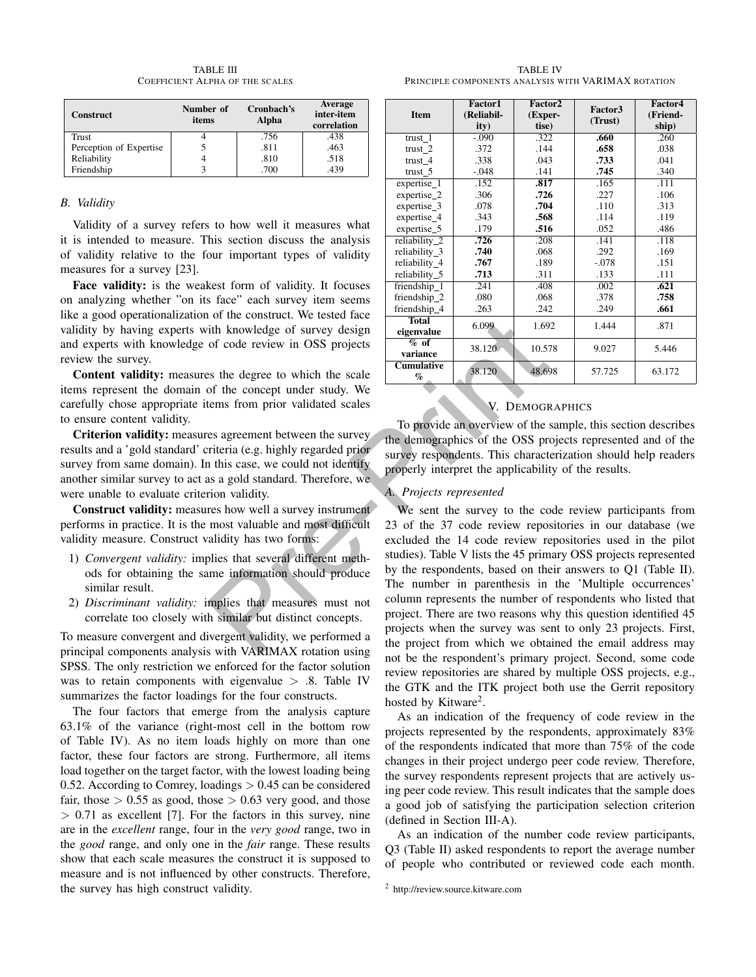TABLE III COEFFICIENT ALPHA OF THE SCALES

| <b>Construct</b>        | Number of<br>items | Cronbach's<br>Alpha | Average<br>inter-item<br>correlation |
|-------------------------|--------------------|---------------------|--------------------------------------|
| Trust                   |                    | .756                | .438                                 |
| Perception of Expertise |                    | .811                | .463                                 |
| Reliability             |                    | .810                | .518                                 |
| Friendship              |                    | .700                | .439                                 |

# *B. Validity*

Validity of a survey refers to how well it measures what it is intended to measure. This section discuss the analysis of validity relative to the four important types of validity measures for a survey [23].

Face validity: is the weakest form of validity. It focuses on analyzing whether "on its face" each survey item seems like a good operationalization of the construct. We tested face validity by having experts with knowledge of survey design and experts with knowledge of code review in OSS projects review the survey.

Content validity: measures the degree to which the scale items represent the domain of the concept under study. We carefully chose appropriate items from prior validated scales to ensure content validity.

Criterion validity: measures agreement between the survey results and a 'gold standard' criteria (e.g. highly regarded prior survey from same domain). In this case, we could not identify another similar survey to act as a gold standard. Therefore, we were unable to evaluate criterion validity.

Construct validity: measures how well a survey instrument performs in practice. It is the most valuable and most difficult validity measure. Construct validity has two forms:

- 1) *Convergent validity:* implies that several different methods for obtaining the same information should produce similar result.
- 2) *Discriminant validity:* implies that measures must not correlate too closely with similar but distinct concepts.

To measure convergent and divergent validity, we performed a principal components analysis with VARIMAX rotation using SPSS. The only restriction we enforced for the factor solution was to retain components with eigenvalue  $> .8$ . Table IV summarizes the factor loadings for the four constructs.

The four factors that emerge from the analysis capture 63.1% of the variance (right-most cell in the bottom row of Table IV). As no item loads highly on more than one factor, these four factors are strong. Furthermore, all items load together on the target factor, with the lowest loading being 0.52. According to Comrey, loadings  $> 0.45$  can be considered fair, those  $> 0.55$  as good, those  $> 0.63$  very good, and those  $> 0.71$  as excellent [7]. For the factors in this survey, nine are in the *excellent* range, four in the *very good* range, two in the *good* range, and only one in the *fair* range. These results show that each scale measures the construct it is supposed to measure and is not influenced by other constructs. Therefore, the survey has high construct validity.

TABLE IV PRINCIPLE COMPONENTS ANALYSIS WITH VARIMAX ROTATION

| <b>Item</b>                    | <b>Factor1</b><br>(Reliabil-<br>ity) | Factor2<br>(Exper-<br>tise) | Factor3<br>(Trust) | Factor4<br>(Friend-<br>ship) |
|--------------------------------|--------------------------------------|-----------------------------|--------------------|------------------------------|
| $trust_1$                      | $-.090$                              | .322                        | .660               | .260                         |
| trust $2$                      | .372                                 | .144                        | .658               | .038                         |
| trust $4$                      | .338                                 | .043                        | .733               | .041                         |
| trust $5$                      | $-.048$                              | .141                        | .745               | .340                         |
| expertise_1                    | .152                                 | .817                        | .165               | .111                         |
| expertise_2                    | .306                                 | .726                        | .227               | .106                         |
| expertise_3                    | .078                                 | .704                        | .110               | .313                         |
| expertise_4                    | .343                                 | .568                        | .114               | .119                         |
| expertise 5                    | .179                                 | .516                        | .052               | .486                         |
| reliability_2                  | .726                                 | .208                        | .141               | .118                         |
| reliability 3                  | .740                                 | .068                        | .292               | .169                         |
| reliability_4                  | .767                                 | .189                        | $-.078$            | .151                         |
| reliability 5                  | .713                                 | .311                        | .133               | .111                         |
| friendship_1                   | .241                                 | .408                        | .002               | .621                         |
| friendship_2                   | .080                                 | .068                        | .378               | .758                         |
| friendship_4                   | .263                                 | .242                        | .249               | .661                         |
| <b>Total</b><br>eigenvalue     | 6.099                                | 1.692                       | 1.444              | .871                         |
| $\overline{\%}$ of<br>variance | 38.120                               | 10.578                      | 9.027              | 5.446                        |
| <b>Cumulative</b><br>$\%$      | 38.120                               | 48.698                      | 57.725             | 63.172                       |

## V. DEMOGRAPHICS

To provide an overview of the sample, this section describes the demographics of the OSS projects represented and of the survey respondents. This characterization should help readers properly interpret the applicability of the results.

## *A. Projects represented*

Total<br>
in knowledge of survey design<br>
of code review in OSS projects<br>
of code review in OSS projects<br>
of the concept under study. We<br>
Externs from prior validated scales<br>
of the concept under study. We<br>
Externs from prior We sent the survey to the code review participants from 23 of the 37 code review repositories in our database (we excluded the 14 code review repositories used in the pilot studies). Table V lists the 45 primary OSS projects represented by the respondents, based on their answers to Q1 (Table II). The number in parenthesis in the 'Multiple occurrences' column represents the number of respondents who listed that project. There are two reasons why this question identified 45 projects when the survey was sent to only 23 projects. First, the project from which we obtained the email address may not be the respondent's primary project. Second, some code review repositories are shared by multiple OSS projects, e.g., the GTK and the ITK project both use the Gerrit repository hosted by Kitware<sup>2</sup>.

> As an indication of the frequency of code review in the projects represented by the respondents, approximately 83% of the respondents indicated that more than 75% of the code changes in their project undergo peer code review. Therefore, the survey respondents represent projects that are actively using peer code review. This result indicates that the sample does a good job of satisfying the participation selection criterion (defined in Section III-A).

> As an indication of the number code review participants, Q3 (Table II) asked respondents to report the average number of people who contributed or reviewed code each month.

<sup>2</sup> http://review.source.kitware.com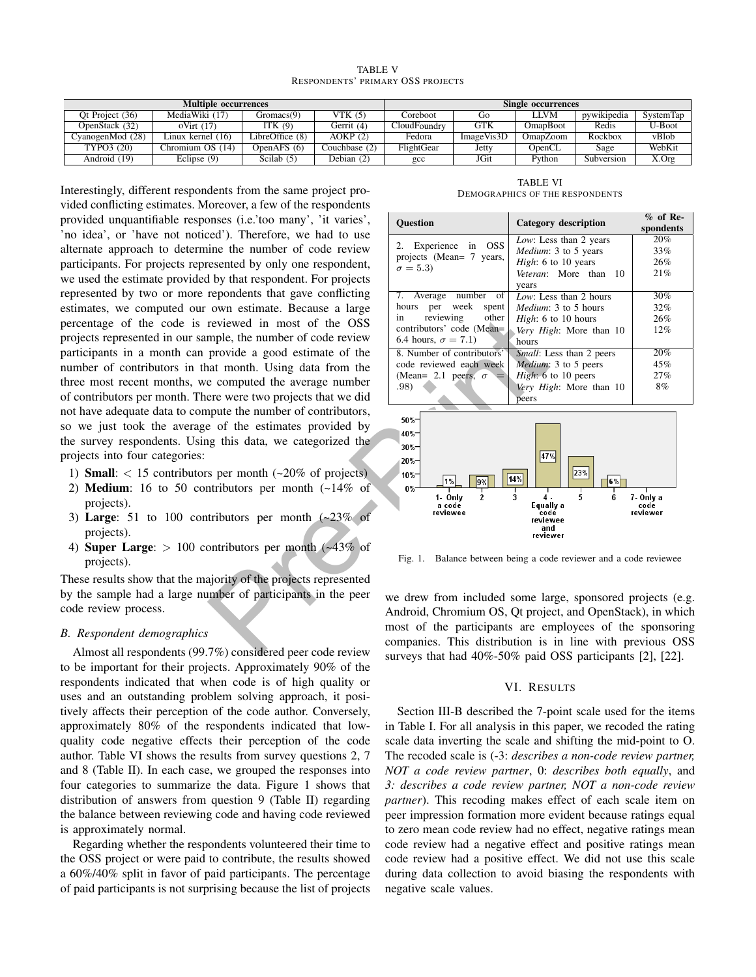TABLE V RESPONDENTS' PRIMARY OSS PROJECTS

| <b>Multiple occurrences</b> |                   |                 | Single occurrences |              |            |          |             |                  |
|-----------------------------|-------------------|-----------------|--------------------|--------------|------------|----------|-------------|------------------|
| Ot Project $(36)$           | MediaWiki (17)    | Gromacs(9)      | VTK (5)            | Coreboot     | Ġо         | LLVM     | pywikipedia | <b>SystemTap</b> |
| OpenStack (32)              | oVirt(17)         | ITK $(9)$       | Gerrit (4)         | CloudFoundrv | <b>GTK</b> | OmapBoot | Redis       | U-Boot           |
| CyanogenMod (28)            | Linux kernel (16) | LibreOffice (8) | AOKP(2)            | Fedora       | ImageVis3D | OmapZoom | Rockbox     | vBlob            |
| TYPO3 (20)                  | Chromium OS (14)  | OpenAFS (6)     | Couchbase (2)      | FlightGear   | Jetty      | OpenCL   | Sage        | WebKit           |
| Android (19)                | Eclipse $(9)$     | Scilab $(5)$    | Debian (2)         | $_{\rm gcc}$ | JGit       | Pvthon   | Subversion  | X.Org            |

reviewed in most of the OSS<br>
mple, the number of code review<br>
provide a good estimate of the<br>
provide a good estimate of the<br>
act month. Using data from the signal:  $\sigma = 7.1$ <br>
act month. Using data from the signal:  $\sigma$  a Interestingly, different respondents from the same project provided conflicting estimates. Moreover, a few of the respondents provided unquantifiable responses (i.e.'too many', 'it varies', 'no idea', or 'have not noticed'). Therefore, we had to use alternate approach to determine the number of code review participants. For projects represented by only one respondent, we used the estimate provided by that respondent. For projects represented by two or more repondents that gave conflicting estimates, we computed our own estimate. Because a large percentage of the code is reviewed in most of the OSS projects represented in our sample, the number of code review participants in a month can provide a good estimate of the number of contributors in that month. Using data from the three most recent months, we computed the average number of contributors per month. There were two projects that we did not have adequate data to compute the number of contributors, so we just took the average of the estimates provided by the survey respondents. Using this data, we categorized the projects into four categories:

- 1) **Small:**  $\langle 15 \rangle$  contributors per month ( $\sim 20\%$  of projects)
- 2) **Medium**: 16 to 50 contributors per month  $(-14\% \text{ of }$ projects).
- 3) Large: 51 to 100 contributors per month  $(-23\% \text{ of }$ projects).
- 4) Super Large:  $> 100$  contributors per month (~43% of projects).

These results show that the majority of the projects represented by the sample had a large number of participants in the peer code review process.

# *B. Respondent demographics*

Almost all respondents (99.7%) considered peer code review to be important for their projects. Approximately 90% of the respondents indicated that when code is of high quality or uses and an outstanding problem solving approach, it positively affects their perception of the code author. Conversely, approximately 80% of the respondents indicated that lowquality code negative effects their perception of the code author. Table VI shows the results from survey questions 2, 7 and 8 (Table II). In each case, we grouped the responses into four categories to summarize the data. Figure 1 shows that distribution of answers from question 9 (Table II) regarding the balance between reviewing code and having code reviewed is approximately normal.

Regarding whether the respondents volunteered their time to the OSS project or were paid to contribute, the results showed a 60%/40% split in favor of paid participants. The percentage of paid participants is not surprising because the list of projects

| TABLE VI                        |
|---------------------------------|
| DEMOGRAPHICS OF THE RESPONDENTS |

|                             |                                 | $%$ of Re- |
|-----------------------------|---------------------------------|------------|
| <b>Ouestion</b>             | <b>Category description</b>     | spondents  |
| 2. Experience in OSS        | Low: Less than 2 years          | 20%        |
| projects (Mean= 7 years,    | Medium: 3 to 5 years            | 33%        |
| $\sigma = 5.3$              | <i>High</i> : 6 to 10 years     | 26%        |
|                             | Veteran: More than 10           | 21%        |
|                             | years                           |            |
| 7. Average number<br>of     | Low: Less than 2 hours          | 30%        |
| hours per week spent        | <i>Medium:</i> 3 to 5 hours     | 32%        |
| reviewing other<br>in       | <i>High</i> : 6 to 10 hours     | 26%        |
| contributors' code (Mean=   | Very High: More than 10         | 12%        |
| 6.4 hours, $\sigma = 7.1$ ) | hours                           |            |
| 8. Number of contributors'  | <i>Small:</i> Less than 2 peers | 20%        |
| code reviewed each week     | <i>Medium:</i> 3 to 5 peers     | 45%        |
| (Mean= 2.1 peers, $\sigma$  | <i>High</i> : 6 to 10 peers     | 27%        |
| .98)                        | Very High: More than 10         | 8%         |
|                             | peers                           |            |
|                             |                                 |            |



Fig. 1. Balance between being a code reviewer and a code reviewee

we drew from included some large, sponsored projects (e.g. Android, Chromium OS, Qt project, and OpenStack), in which most of the participants are employees of the sponsoring companies. This distribution is in line with previous OSS surveys that had 40%-50% paid OSS participants [2], [22].

#### VI. RESULTS

Section III-B described the 7-point scale used for the items in Table I. For all analysis in this paper, we recoded the rating scale data inverting the scale and shifting the mid-point to O. The recoded scale is (-3: *describes a non-code review partner, NOT a code review partner*, 0: *describes both equally*, and *3: describes a code review partner, NOT a non-code review partner*). This recoding makes effect of each scale item on peer impression formation more evident because ratings equal to zero mean code review had no effect, negative ratings mean code review had a negative effect and positive ratings mean code review had a positive effect. We did not use this scale during data collection to avoid biasing the respondents with negative scale values.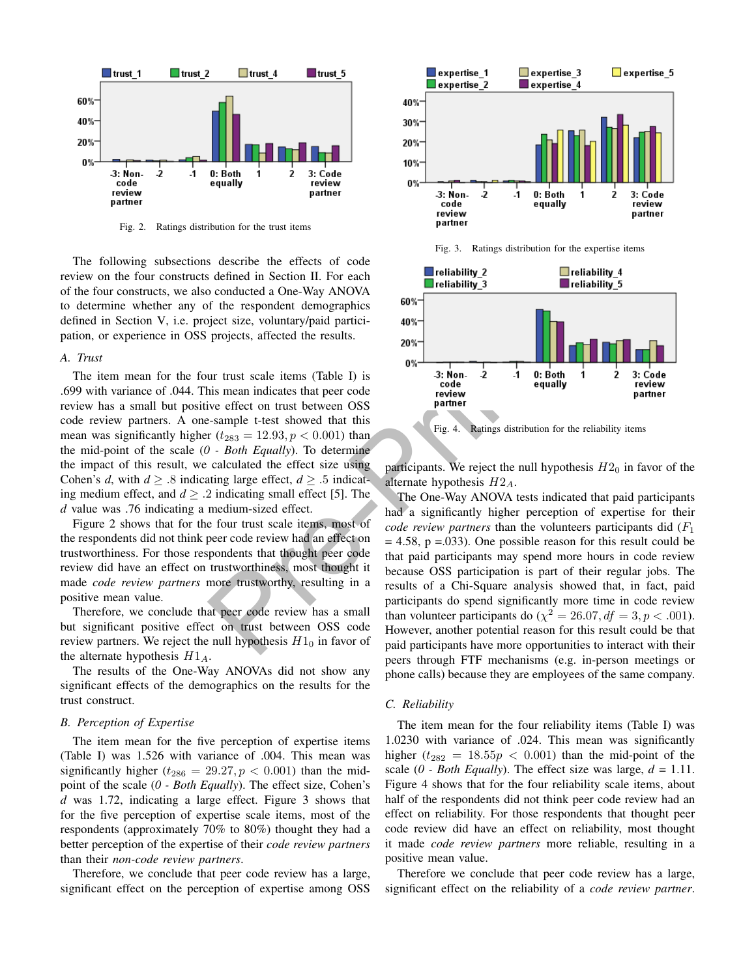

Fig. 2. Ratings distribution for the trust items

The following subsections describe the effects of code review on the four constructs defined in Section II. For each of the four constructs, we also conducted a One-Way ANOVA to determine whether any of the respondent demographics defined in Section V, i.e. project size, voluntary/paid participation, or experience in OSS projects, affected the results.

# *A. Trust*

The item mean for the four trust scale items (Table I) is .699 with variance of .044. This mean indicates that peer code review has a small but positive effect on trust between OSS code review partners. A one-sample t-test showed that this mean was significantly higher ( $t_{283} = 12.93, p < 0.001$ ) than the mid-point of the scale (*0 - Both Equally*). To determine the impact of this result, we calculated the effect size using Cohen's *d*, with  $d \geq 0.8$  indicating large effect,  $d \geq 0.5$  indicating medium effect, and  $d \geq 0.2$  indicating small effect [5]. The *d* value was .76 indicating a medium-sized effect.

Figure 2 shows that for the four trust scale items, most of the respondents did not think peer code review had an effect on trustworthiness. For those respondents that thought peer code review did have an effect on trustworthiness, most thought it made *code review partners* more trustworthy, resulting in a positive mean value.

Therefore, we conclude that peer code review has a small but significant positive effect on trust between OSS code review partners. We reject the null hypothesis  $H1_0$  in favor of the alternate hypothesis  $H1_A$ .

The results of the One-Way ANOVAs did not show any significant effects of the demographics on the results for the trust construct.

#### *B. Perception of Expertise*

The item mean for the five perception of expertise items (Table I) was 1.526 with variance of .004. This mean was significantly higher ( $t_{286} = 29.27, p < 0.001$ ) than the midpoint of the scale (*0 - Both Equally*). The effect size, Cohen's *d* was 1.72, indicating a large effect. Figure 3 shows that for the five perception of expertise scale items, most of the respondents (approximately 70% to 80%) thought they had a better perception of the expertise of their *code review partners* than their *non-code review partners*.

Therefore, we conclude that peer code review has a large, significant effect on the perception of expertise among OSS



Fig. 3. Ratings distribution for the expertise items



participants. We reject the null hypothesis  $H2_0$  in favor of the alternate hypothesis  $H2_A$ .

giect size, voluntary/paid partici-<br>
projects, affected the results.<br>  $20\%$ <br>
ur trust scale items (Table I) is<br>  $3: \text{Non-} \quad 2 \quad 4 \quad 0.8$ <br>
its mean indicates that peer code<br>
ive effect on trust between OSS<br>  $\bullet$ -sample t-The One-Way ANOVA tests indicated that paid participants had a significantly higher perception of expertise for their *code review partners* than the volunteers participants did  $(F_1)$  $= 4.58$ ,  $p = .033$ ). One possible reason for this result could be that paid participants may spend more hours in code review because OSS participation is part of their regular jobs. The results of a Chi-Square analysis showed that, in fact, paid participants do spend significantly more time in code review than volunteer participants do ( $\chi^2 = 26.07$ ,  $df = 3$ ,  $p < .001$ ). However, another potential reason for this result could be that paid participants have more opportunities to interact with their peers through FTF mechanisms (e.g. in-person meetings or phone calls) because they are employees of the same company.

#### *C. Reliability*

The item mean for the four reliability items (Table I) was 1.0230 with variance of .024. This mean was significantly higher ( $t_{282} = 18.55p < 0.001$ ) than the mid-point of the scale  $(0 - Both Equality)$ . The effect size was large,  $d = 1.11$ . Figure 4 shows that for the four reliability scale items, about half of the respondents did not think peer code review had an effect on reliability. For those respondents that thought peer code review did have an effect on reliability, most thought it made *code review partners* more reliable, resulting in a positive mean value.

Therefore we conclude that peer code review has a large, significant effect on the reliability of a *code review partner*.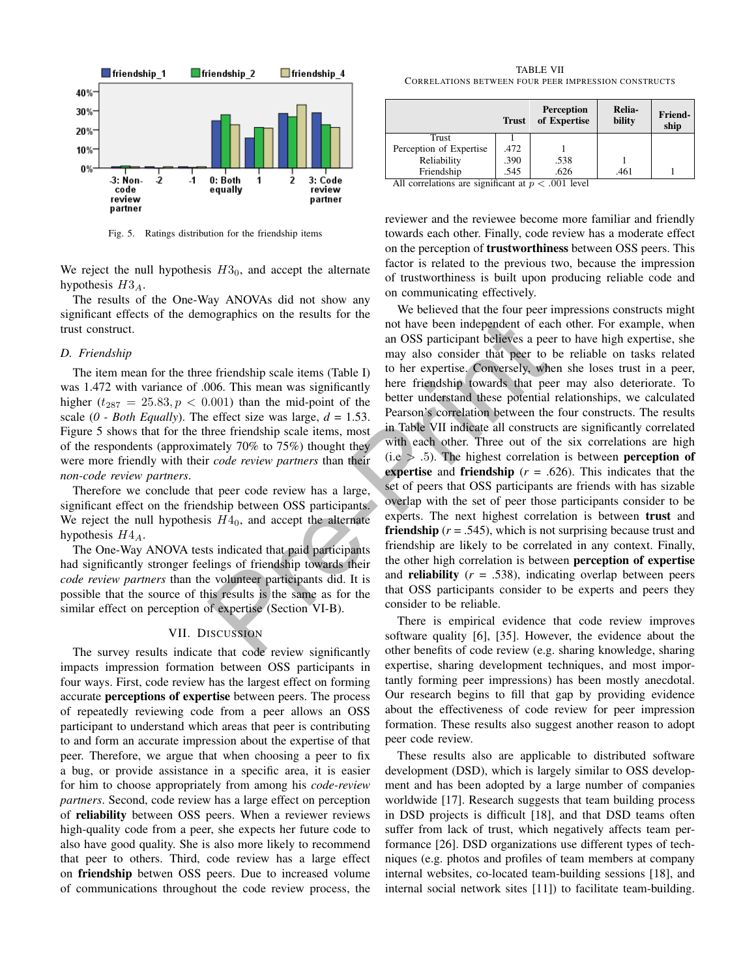

Fig. 5. Ratings distribution for the friendship items

We reject the null hypothesis  $H3_0$ , and accept the alternate hypothesis  $H3_A$ .

The results of the One-Way ANOVAs did not show any significant effects of the demographics on the results for the trust construct.

## *D. Friendship*

The item mean for the three friendship scale items (Table I) was 1.472 with variance of .006. This mean was significantly higher ( $t_{287} = 25.83$ ,  $p < 0.001$ ) than the mid-point of the scale  $(0 - Both Equality)$ . The effect size was large,  $d = 1.53$ . Figure 5 shows that for the three friendship scale items, most of the respondents (approximately 70% to 75%) thought they were more friendly with their *code review partners* than their *non-code review partners*.

Therefore we conclude that peer code review has a large, significant effect on the friendship between OSS participants. We reject the null hypothesis  $H4_0$ , and accept the alternate hypothesis  $H4_A$ .

The One-Way ANOVA tests indicated that paid participants had significantly stronger feelings of friendship towards their *code review partners* than the volunteer participants did. It is possible that the source of this results is the same as for the similar effect on perception of expertise (Section VI-B).

# VII. DISCUSSION

The survey results indicate that code review significantly impacts impression formation between OSS participants in four ways. First, code review has the largest effect on forming accurate perceptions of expertise between peers. The process of repeatedly reviewing code from a peer allows an OSS participant to understand which areas that peer is contributing to and form an accurate impression about the expertise of that peer. Therefore, we argue that when choosing a peer to fix a bug, or provide assistance in a specific area, it is easier for him to choose appropriately from among his *code-review partners*. Second, code review has a large effect on perception of reliability between OSS peers. When a reviewer reviews high-quality code from a peer, she expects her future code to also have good quality. She is also more likely to recommend that peer to others. Third, code review has a large effect on friendship betwen OSS peers. Due to increased volume of communications throughout the code review process, the

TABLE VII CORRELATIONS BETWEEN FOUR PEER IMPRESSION CONSTRUCTS

|                         | <b>Trust</b> | <b>Perception</b><br>of Expertise | Relia-<br>bility | <b>Friend-</b><br>ship |
|-------------------------|--------------|-----------------------------------|------------------|------------------------|
| Trust                   |              |                                   |                  |                        |
| Perception of Expertise | .472         |                                   |                  |                        |
| Reliability             | .390         | .538                              |                  |                        |
| Friendship              | .545         | .626                              | .461             |                        |

All correlations are significant at  $p < .001$  level

reviewer and the reviewee become more familiar and friendly towards each other. Finally, code review has a moderate effect on the perception of trustworthiness between OSS peers. This factor is related to the previous two, because the impression of trustworthiness is built upon producing reliable code and on communicating effectively.

for the same significant of the team of the content of the content of the content of the content of the same and also consider that peer to 000. This mean was significantly here friendship (owards hat peer effect size was We believed that the four peer impressions constructs might not have been independent of each other. For example, when an OSS participant believes a peer to have high expertise, she may also consider that peer to be reliable on tasks related to her expertise. Conversely, when she loses trust in a peer, here friendship towards that peer may also deteriorate. To better understand these potential relationships, we calculated Pearson's correlation between the four constructs. The results in Table VII indicate all constructs are significantly correlated with each other. Three out of the six correlations are high  $(i.e > .5)$ . The highest correlation is between **perception of expertise** and **friendship**  $(r = .626)$ . This indicates that the set of peers that OSS participants are friends with has sizable overlap with the set of peer those participants consider to be experts. The next highest correlation is between trust and **friendship**  $(r = .545)$ , which is not surprising because trust and friendship are likely to be correlated in any context. Finally, the other high correlation is between perception of expertise and **reliability**  $(r = .538)$ , indicating overlap between peers that OSS participants consider to be experts and peers they consider to be reliable.

There is empirical evidence that code review improves software quality [6], [35]. However, the evidence about the other benefits of code review (e.g. sharing knowledge, sharing expertise, sharing development techniques, and most importantly forming peer impressions) has been mostly anecdotal. Our research begins to fill that gap by providing evidence about the effectiveness of code review for peer impression formation. These results also suggest another reason to adopt peer code review.

These results also are applicable to distributed software development (DSD), which is largely similar to OSS development and has been adopted by a large number of companies worldwide [17]. Research suggests that team building process in DSD projects is difficult [18], and that DSD teams often suffer from lack of trust, which negatively affects team performance [26]. DSD organizations use different types of techniques (e.g. photos and profiles of team members at company internal websites, co-located team-building sessions [18], and internal social network sites [11]) to facilitate team-building.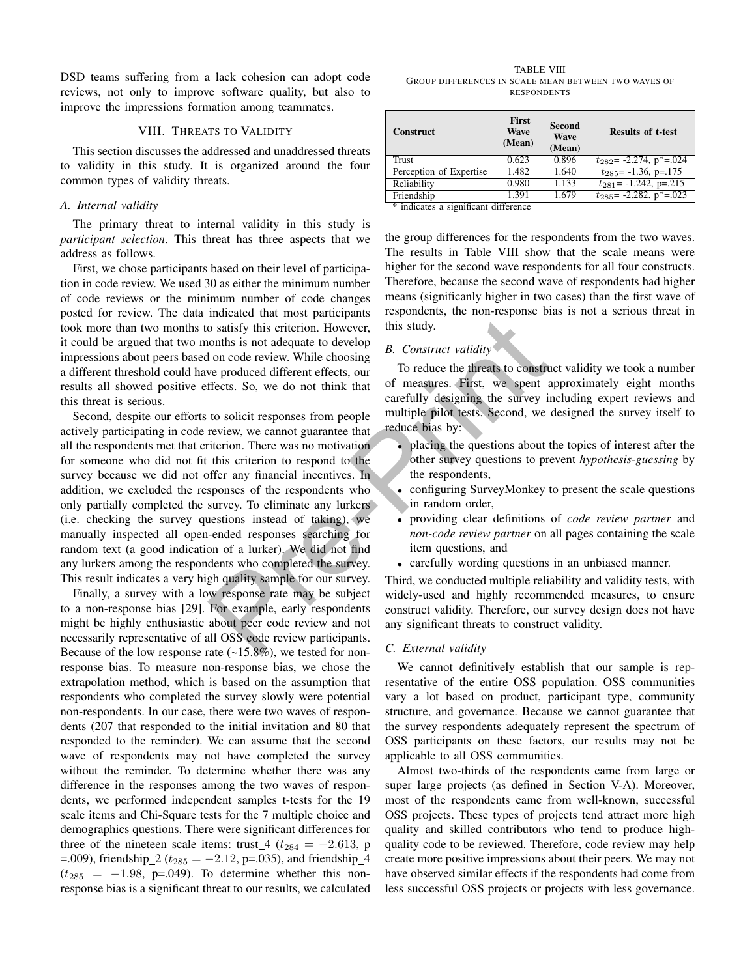DSD teams suffering from a lack cohesion can adopt code reviews, not only to improve software quality, but also to improve the impressions formation among teammates.

# VIII. THREATS TO VALIDITY

This section discusses the addressed and unaddressed threats to validity in this study. It is organized around the four common types of validity threats.

# *A. Internal validity*

The primary threat to internal validity in this study is *participant selection*. This threat has three aspects that we address as follows.

First, we chose participants based on their level of participation in code review. We used 30 as either the minimum number of code reviews or the minimum number of code changes posted for review. The data indicated that most participants took more than two months to satisfy this criterion. However, it could be argued that two months is not adequate to develop impressions about peers based on code review. While choosing a different threshold could have produced different effects, our results all showed positive effects. So, we do not think that this threat is serious.

meand and most parameterized and intervention. However, this study.<br>
In o coatisfy this criterion. However, this study.<br>
In orde review. While choosing B. Construct validity<br>
we produced different effects, our To reduce t Second, despite our efforts to solicit responses from people actively participating in code review, we cannot guarantee that all the respondents met that criterion. There was no motivation for someone who did not fit this criterion to respond to the survey because we did not offer any financial incentives. In addition, we excluded the responses of the respondents who only partially completed the survey. To eliminate any lurkers (i.e. checking the survey questions instead of taking), we manually inspected all open-ended responses searching for random text (a good indication of a lurker). We did not find any lurkers among the respondents who completed the survey. This result indicates a very high quality sample for our survey.

Finally, a survey with a low response rate may be subject to a non-response bias [29]. For example, early respondents might be highly enthusiastic about peer code review and not necessarily representative of all OSS code review participants. Because of the low response rate  $(-15.8\%)$ , we tested for nonresponse bias. To measure non-response bias, we chose the extrapolation method, which is based on the assumption that respondents who completed the survey slowly were potential non-respondents. In our case, there were two waves of respondents (207 that responded to the initial invitation and 80 that responded to the reminder). We can assume that the second wave of respondents may not have completed the survey without the reminder. To determine whether there was any difference in the responses among the two waves of respondents, we performed independent samples t-tests for the 19 scale items and Chi-Square tests for the 7 multiple choice and demographics questions. There were significant differences for three of the nineteen scale items: trust\_4 ( $t_{284} = -2.613$ , p =.009), friendship  $2 (t_{285} = -2.12, p=0.035)$ , and friendship  $4$  $(t_{285} = -1.98, p=.049)$ . To determine whether this nonresponse bias is a significant threat to our results, we calculated

TABLE VIII GROUP DIFFERENCES IN SCALE MEAN BETWEEN TWO WAVES OF **RESPONDENTS** 

| <b>Construct</b>        | <b>First</b><br><b>Wave</b><br>(Mean) | Second<br><b>Wave</b><br>(Mean) | <b>Results of t-test</b>        |
|-------------------------|---------------------------------------|---------------------------------|---------------------------------|
| Trust                   | 0.623                                 | 0.896                           | $t_{282}$ = -2.274, $p^*$ = 024 |
| Perception of Expertise | 1.482                                 | 1.640                           | $t_{285}$ = -1.36, p=.175       |
| Reliability             | 0.980                                 | 1.133                           | $t_{281} = -1.242$ , p=.215     |
| Friendship              | 1.391                                 | 1.679                           | $t_{285}$ = -2.282, p*=.023     |

\* indicates a significant difference

the group differences for the respondents from the two waves. The results in Table VIII show that the scale means were higher for the second wave respondents for all four constructs. Therefore, because the second wave of respondents had higher means (significanly higher in two cases) than the first wave of respondents, the non-response bias is not a serious threat in this study.

# *B. Construct validity*

To reduce the threats to construct validity we took a number of measures. First, we spent approximately eight months carefully designing the survey including expert reviews and multiple pilot tests. Second, we designed the survey itself to reduce bias by:

- placing the questions about the topics of interest after the other survey questions to prevent *hypothesis-guessing* by the respondents,
- configuring SurveyMonkey to present the scale questions in random order,
- providing clear definitions of *code review partner* and *non-code review partner* on all pages containing the scale item questions, and
- carefully wording questions in an unbiased manner.

Third, we conducted multiple reliability and validity tests, with widely-used and highly recommended measures, to ensure construct validity. Therefore, our survey design does not have any significant threats to construct validity.

#### *C. External validity*

We cannot definitively establish that our sample is representative of the entire OSS population. OSS communities vary a lot based on product, participant type, community structure, and governance. Because we cannot guarantee that the survey respondents adequately represent the spectrum of OSS participants on these factors, our results may not be applicable to all OSS communities.

Almost two-thirds of the respondents came from large or super large projects (as defined in Section V-A). Moreover, most of the respondents came from well-known, successful OSS projects. These types of projects tend attract more high quality and skilled contributors who tend to produce highquality code to be reviewed. Therefore, code review may help create more positive impressions about their peers. We may not have observed similar effects if the respondents had come from less successful OSS projects or projects with less governance.